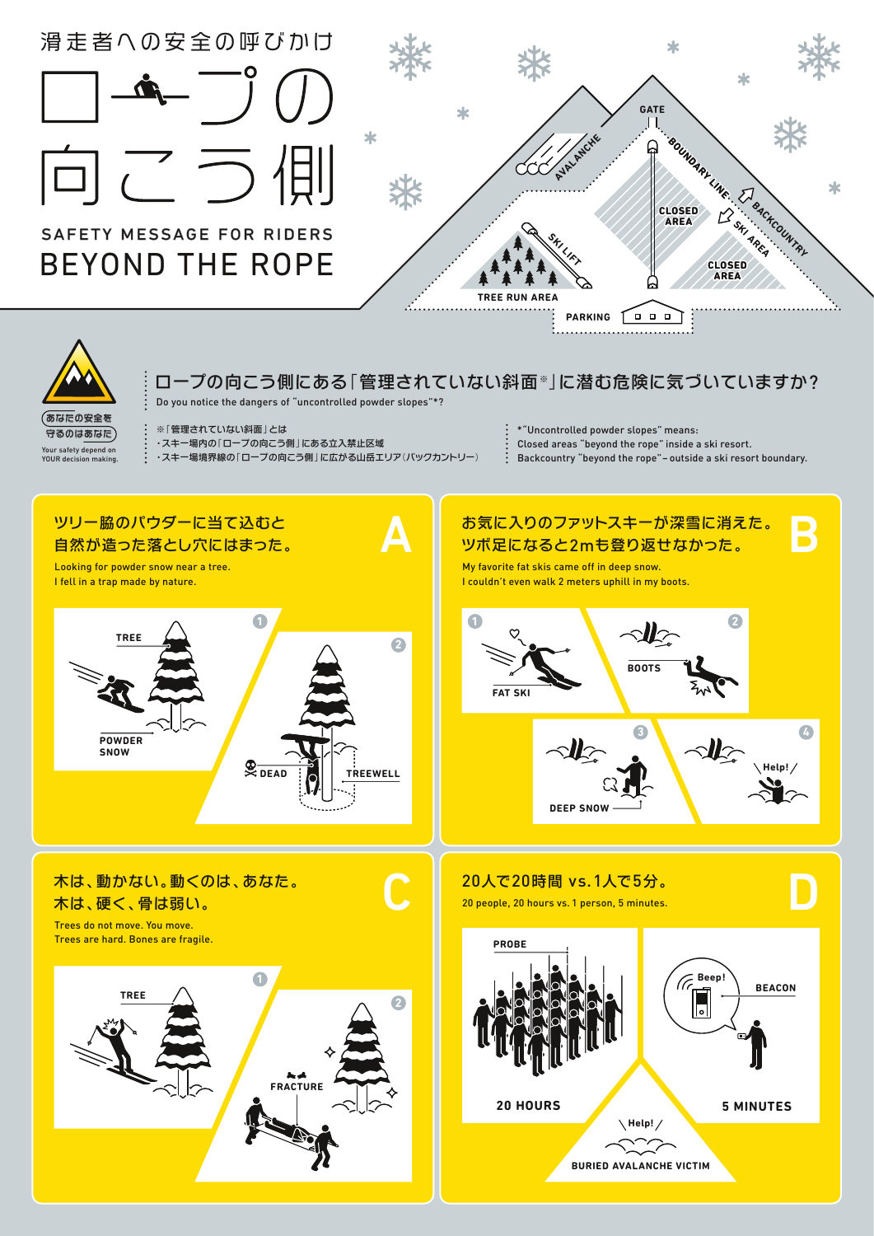

Do you notice the dangers of "uncontrolled powder slopes"\*?

のあなたの安全を 守るのはあなた

※「管理されていない斜面」とは ・スキー場内の「ロープの向こう側」にある立入禁止区域 ・スキー場境界線の「ロープの向こう側」に広がる山岳エリア(バックカントリー) \*"Uncontrolled powder slopes" means:

Closed areas "beyond the rope" inside a ski resort.

.<br>Backcountry "beyond the rope" – outside a ski resort boundary.